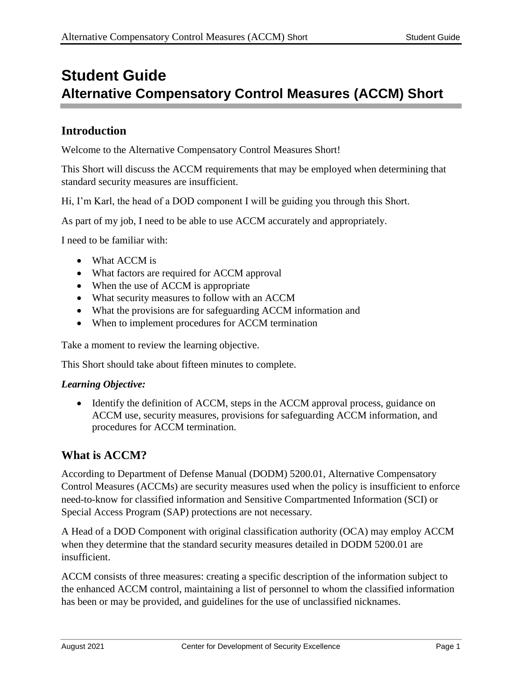# **Student Guide Alternative Compensatory Control Measures (ACCM) Short**

# **Introduction**

Welcome to the Alternative Compensatory Control Measures Short!

This Short will discuss the ACCM requirements that may be employed when determining that standard security measures are insufficient.

Hi, I'm Karl, the head of a DOD component I will be guiding you through this Short.

As part of my job, I need to be able to use ACCM accurately and appropriately.

I need to be familiar with:

- What ACCM is
- What factors are required for ACCM approval
- When the use of ACCM is appropriate
- What security measures to follow with an ACCM
- What the provisions are for safeguarding ACCM information and
- When to implement procedures for ACCM termination

Take a moment to review the learning objective.

This Short should take about fifteen minutes to complete.

#### *Learning Objective:*

• Identify the definition of ACCM, steps in the ACCM approval process, guidance on ACCM use, security measures, provisions for safeguarding ACCM information, and procedures for ACCM termination.

# **What is ACCM?**

According to Department of Defense Manual (DODM) 5200.01, Alternative Compensatory Control Measures (ACCMs) are security measures used when the policy is insufficient to enforce need-to-know for classified information and Sensitive Compartmented Information (SCI) or Special Access Program (SAP) protections are not necessary.

A Head of a DOD Component with original classification authority (OCA) may employ ACCM when they determine that the standard security measures detailed in DODM 5200.01 are insufficient.

ACCM consists of three measures: creating a specific description of the information subject to the enhanced ACCM control, maintaining a list of personnel to whom the classified information has been or may be provided, and guidelines for the use of unclassified nicknames.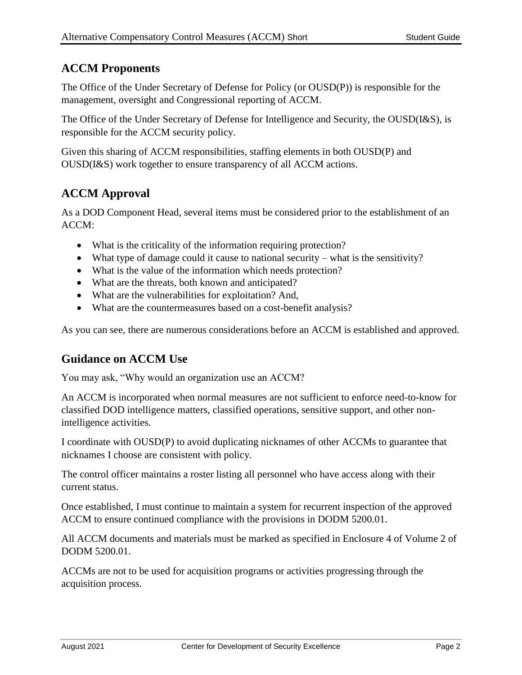# **ACCM Proponents**

The Office of the Under Secretary of Defense for Policy (or OUSD(P)) is responsible for the management, oversight and Congressional reporting of ACCM.

The Office of the Under Secretary of Defense for Intelligence and Security, the OUSD(I&S), is responsible for the ACCM security policy.

Given this sharing of ACCM responsibilities, staffing elements in both OUSD(P) and OUSD(I&S) work together to ensure transparency of all ACCM actions.

# **ACCM Approval**

As a DOD Component Head, several items must be considered prior to the establishment of an ACCM:

- What is the criticality of the information requiring protection?
- What type of damage could it cause to national security what is the sensitivity?
- What is the value of the information which needs protection?
- What are the threats, both known and anticipated?
- What are the vulnerabilities for exploitation? And,
- What are the countermeasures based on a cost-benefit analysis?

As you can see, there are numerous considerations before an ACCM is established and approved.

# **Guidance on ACCM Use**

You may ask, "Why would an organization use an ACCM?

An ACCM is incorporated when normal measures are not sufficient to enforce need-to-know for classified DOD intelligence matters, classified operations, sensitive support, and other nonintelligence activities.

I coordinate with OUSD(P) to avoid duplicating nicknames of other ACCMs to guarantee that nicknames I choose are consistent with policy.

The control officer maintains a roster listing all personnel who have access along with their current status.

Once established, I must continue to maintain a system for recurrent inspection of the approved ACCM to ensure continued compliance with the provisions in DODM 5200.01.

All ACCM documents and materials must be marked as specified in Enclosure 4 of Volume 2 of DODM 5200.01.

ACCMs are not to be used for acquisition programs or activities progressing through the acquisition process.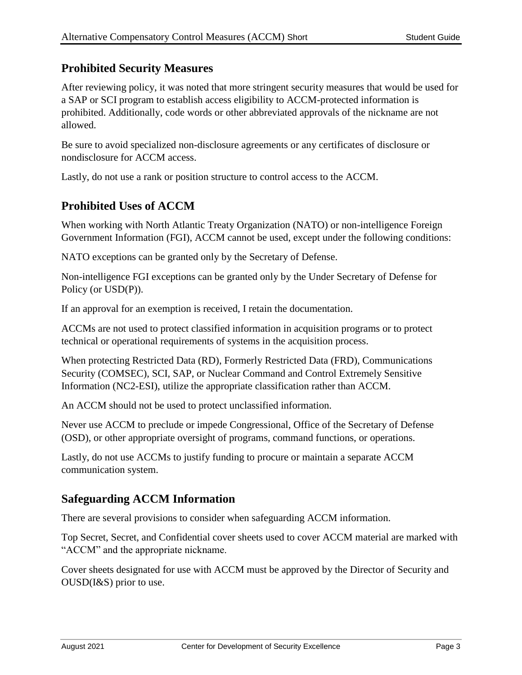# **Prohibited Security Measures**

After reviewing policy, it was noted that more stringent security measures that would be used for a SAP or SCI program to establish access eligibility to ACCM-protected information is prohibited. Additionally, code words or other abbreviated approvals of the nickname are not allowed.

Be sure to avoid specialized non-disclosure agreements or any certificates of disclosure or nondisclosure for ACCM access.

Lastly, do not use a rank or position structure to control access to the ACCM.

# **Prohibited Uses of ACCM**

When working with North Atlantic Treaty Organization (NATO) or non-intelligence Foreign Government Information (FGI), ACCM cannot be used, except under the following conditions:

NATO exceptions can be granted only by the Secretary of Defense.

Non-intelligence FGI exceptions can be granted only by the Under Secretary of Defense for Policy (or USD(P)).

If an approval for an exemption is received, I retain the documentation.

ACCMs are not used to protect classified information in acquisition programs or to protect technical or operational requirements of systems in the acquisition process.

When protecting Restricted Data (RD), Formerly Restricted Data (FRD), Communications Security (COMSEC), SCI, SAP, or Nuclear Command and Control Extremely Sensitive Information (NC2-ESI), utilize the appropriate classification rather than ACCM.

An ACCM should not be used to protect unclassified information.

Never use ACCM to preclude or impede Congressional, Office of the Secretary of Defense (OSD), or other appropriate oversight of programs, command functions, or operations.

Lastly, do not use ACCMs to justify funding to procure or maintain a separate ACCM communication system.

# **Safeguarding ACCM Information**

There are several provisions to consider when safeguarding ACCM information.

Top Secret, Secret, and Confidential cover sheets used to cover ACCM material are marked with "ACCM" and the appropriate nickname.

Cover sheets designated for use with ACCM must be approved by the Director of Security and OUSD(I&S) prior to use.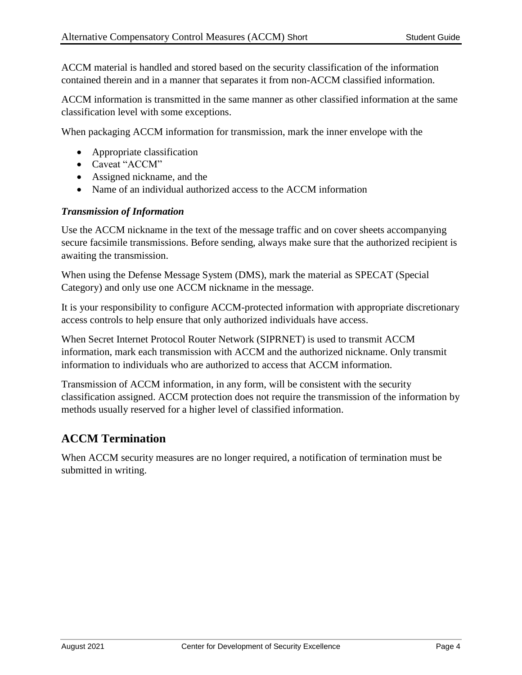ACCM material is handled and stored based on the security classification of the information contained therein and in a manner that separates it from non-ACCM classified information.

ACCM information is transmitted in the same manner as other classified information at the same classification level with some exceptions.

When packaging ACCM information for transmission, mark the inner envelope with the

- Appropriate classification
- Caveat "ACCM"
- Assigned nickname, and the
- Name of an individual authorized access to the ACCM information

### *Transmission of Information*

Use the ACCM nickname in the text of the message traffic and on cover sheets accompanying secure facsimile transmissions. Before sending, always make sure that the authorized recipient is awaiting the transmission.

When using the Defense Message System (DMS), mark the material as SPECAT (Special Category) and only use one ACCM nickname in the message.

It is your responsibility to configure ACCM-protected information with appropriate discretionary access controls to help ensure that only authorized individuals have access.

When Secret Internet Protocol Router Network (SIPRNET) is used to transmit ACCM information, mark each transmission with ACCM and the authorized nickname. Only transmit information to individuals who are authorized to access that ACCM information.

Transmission of ACCM information, in any form, will be consistent with the security classification assigned. ACCM protection does not require the transmission of the information by methods usually reserved for a higher level of classified information.

# **ACCM Termination**

When ACCM security measures are no longer required, a notification of termination must be submitted in writing.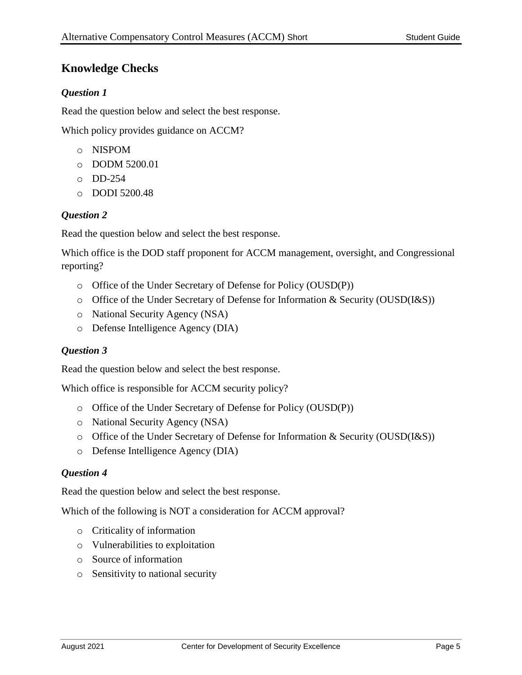# **Knowledge Checks**

### *Question 1*

Read the question below and select the best response.

Which policy provides guidance on ACCM?

- o NISPOM
- o DODM 5200.01
- o DD-254
- o DODI 5200.48

#### *Question 2*

Read the question below and select the best response.

Which office is the DOD staff proponent for ACCM management, oversight, and Congressional reporting?

- o Office of the Under Secretary of Defense for Policy (OUSD(P))
- o Office of the Under Secretary of Defense for Information & Security (OUSD(I&S))
- o National Security Agency (NSA)
- o Defense Intelligence Agency (DIA)

#### *Question 3*

Read the question below and select the best response.

Which office is responsible for ACCM security policy?

- o Office of the Under Secretary of Defense for Policy (OUSD(P))
- o National Security Agency (NSA)
- o Office of the Under Secretary of Defense for Information & Security (OUSD(I&S))
- o Defense Intelligence Agency (DIA)

#### *Question 4*

Read the question below and select the best response.

Which of the following is NOT a consideration for ACCM approval?

- o Criticality of information
- o Vulnerabilities to exploitation
- o Source of information
- o Sensitivity to national security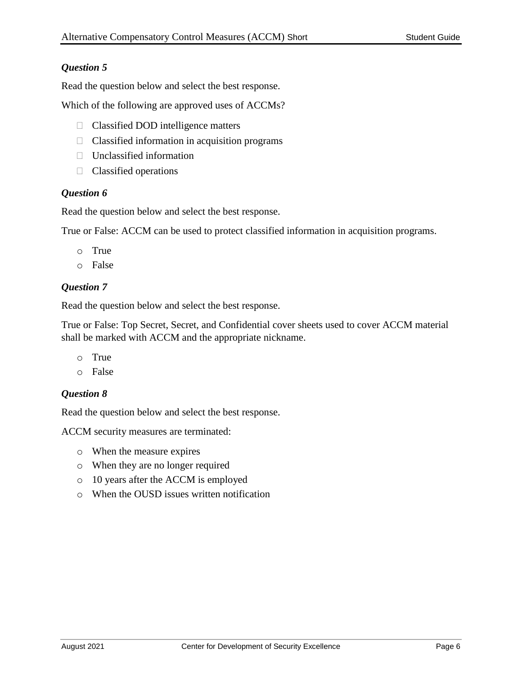### *Question 5*

Read the question below and select the best response.

Which of the following are approved uses of ACCMs?

- □ Classified DOD intelligence matters
- $\Box$  Classified information in acquisition programs
- $\Box$  Unclassified information
- $\Box$  Classified operations

#### *Question 6*

Read the question below and select the best response.

True or False: ACCM can be used to protect classified information in acquisition programs.

- o True
- o False

### *Question 7*

Read the question below and select the best response.

True or False: Top Secret, Secret, and Confidential cover sheets used to cover ACCM material shall be marked with ACCM and the appropriate nickname.

- o True
- o False

### *Question 8*

Read the question below and select the best response.

ACCM security measures are terminated:

- o When the measure expires
- o When they are no longer required
- o 10 years after the ACCM is employed
- o When the OUSD issues written notification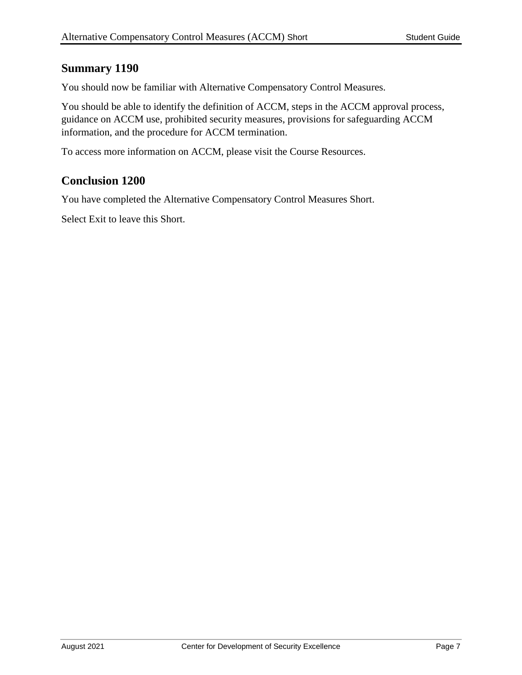### **Summary 1190**

You should now be familiar with Alternative Compensatory Control Measures.

You should be able to identify the definition of ACCM, steps in the ACCM approval process, guidance on ACCM use, prohibited security measures, provisions for safeguarding ACCM information, and the procedure for ACCM termination.

To access more information on ACCM, please visit the Course Resources.

# **Conclusion 1200**

You have completed the Alternative Compensatory Control Measures Short.

Select Exit to leave this Short.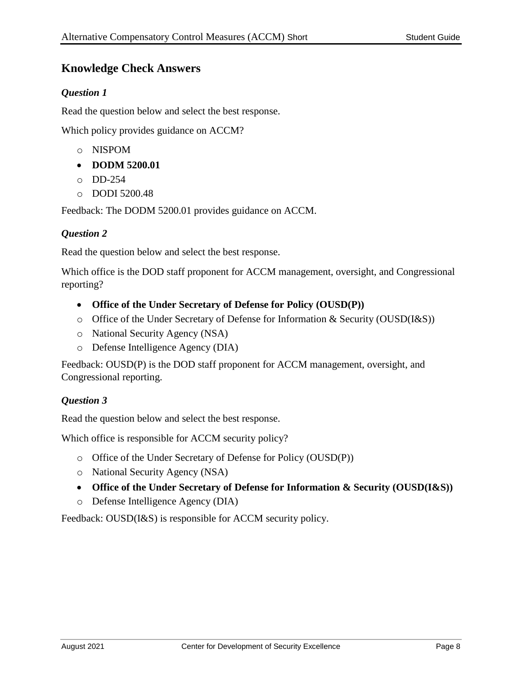# **Knowledge Check Answers**

### *Question 1*

Read the question below and select the best response.

Which policy provides guidance on ACCM?

- o NISPOM
- **DODM 5200.01**
- o DD-254
- o DODI 5200.48

Feedback: The DODM 5200.01 provides guidance on ACCM.

#### *Question 2*

Read the question below and select the best response.

Which office is the DOD staff proponent for ACCM management, oversight, and Congressional reporting?

- **Office of the Under Secretary of Defense for Policy (OUSD(P))**
- o Office of the Under Secretary of Defense for Information & Security (OUSD(I&S))
- o National Security Agency (NSA)
- o Defense Intelligence Agency (DIA)

Feedback: OUSD(P) is the DOD staff proponent for ACCM management, oversight, and Congressional reporting.

### *Question 3*

Read the question below and select the best response.

Which office is responsible for ACCM security policy?

- o Office of the Under Secretary of Defense for Policy (OUSD(P))
- o National Security Agency (NSA)
- **Office of the Under Secretary of Defense for Information & Security (OUSD(I&S))**
- o Defense Intelligence Agency (DIA)

Feedback: OUSD(I&S) is responsible for ACCM security policy.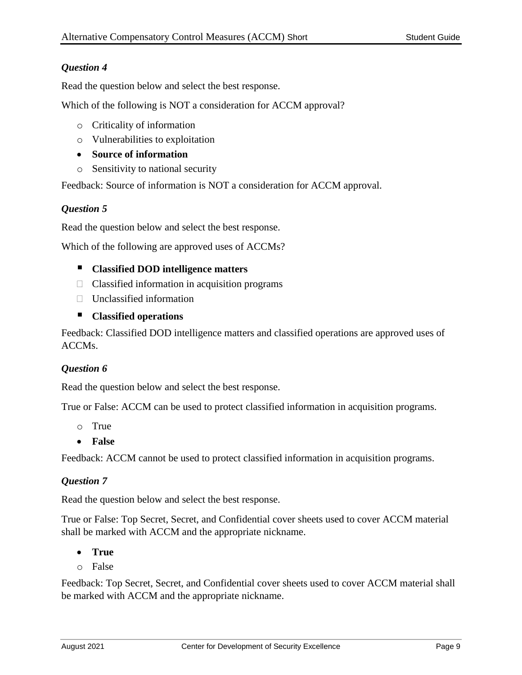### *Question 4*

Read the question below and select the best response.

Which of the following is NOT a consideration for ACCM approval?

- o Criticality of information
- o Vulnerabilities to exploitation
- **Source of information**
- o Sensitivity to national security

Feedback: Source of information is NOT a consideration for ACCM approval.

#### *Question 5*

Read the question below and select the best response.

Which of the following are approved uses of ACCMs?

#### **Classified DOD intelligence matters**

- $\Box$  Classified information in acquisition programs
- $\Box$  Unclassified information

#### **Classified operations**

Feedback: Classified DOD intelligence matters and classified operations are approved uses of ACCMs.

#### *Question 6*

Read the question below and select the best response.

True or False: ACCM can be used to protect classified information in acquisition programs.

- o True
- **False**

Feedback: ACCM cannot be used to protect classified information in acquisition programs.

#### *Question 7*

Read the question below and select the best response.

True or False: Top Secret, Secret, and Confidential cover sheets used to cover ACCM material shall be marked with ACCM and the appropriate nickname.

- **True**
- o False

Feedback: Top Secret, Secret, and Confidential cover sheets used to cover ACCM material shall be marked with ACCM and the appropriate nickname.